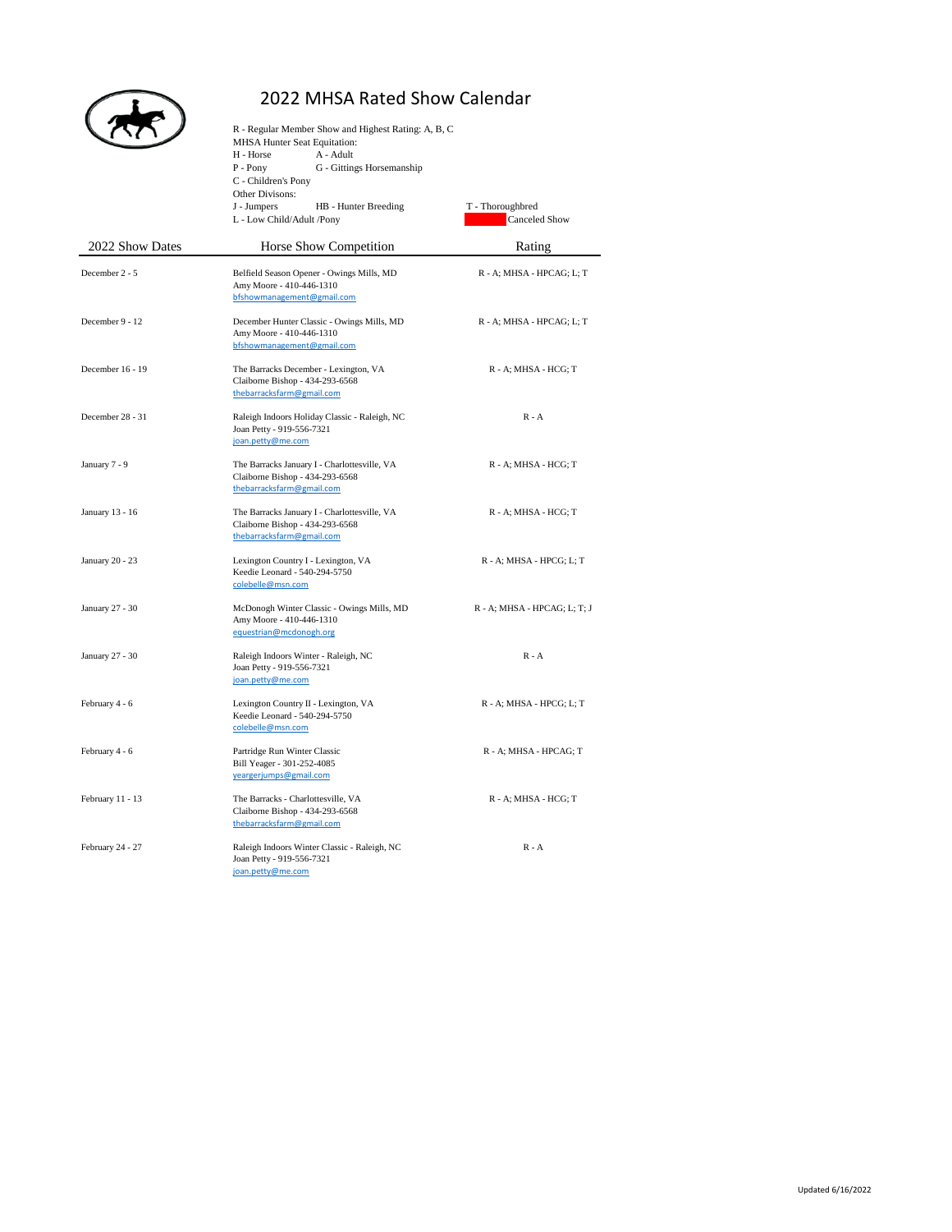

## 2022 MHSA Rated Show Calendar

| 2022 Show Dates  | R - Regular Member Show and Highest Rating: A, B, C<br>MHSA Hunter Seat Equitation:<br>H - Horse<br>A - Adult<br>G - Gittings Horsemanship<br>P - Pony<br>C - Children's Pony<br>Other Divisons:<br>J - Jumpers<br>HB - Hunter Breeding<br>L - Low Child/Adult /Pony | T - Thoroughbred<br>Canceled Show |
|------------------|----------------------------------------------------------------------------------------------------------------------------------------------------------------------------------------------------------------------------------------------------------------------|-----------------------------------|
|                  | Horse Show Competition                                                                                                                                                                                                                                               | Rating                            |
| December 2 - 5   | Belfield Season Opener - Owings Mills, MD<br>Amy Moore - 410-446-1310<br>bfshowmanagement@gmail.com                                                                                                                                                                  | R - A; MHSA - HPCAG; L; T         |
| December 9 - 12  | December Hunter Classic - Owings Mills, MD<br>Amy Moore - 410-446-1310<br>bfshowmanagement@gmail.com                                                                                                                                                                 | R - A; MHSA - HPCAG; L; T         |
| December 16 - 19 | The Barracks December - Lexington, VA<br>Claiborne Bishop - 434-293-6568<br>thebarracksfarm@gmail.com                                                                                                                                                                | R - A; MHSA - HCG; T              |
| December 28 - 31 | Raleigh Indoors Holiday Classic - Raleigh, NC<br>Joan Petty - 919-556-7321<br>joan.petty@me.com                                                                                                                                                                      | $R - A$                           |
| January 7 - 9    | The Barracks January I - Charlottesville, VA<br>Claiborne Bishop - 434-293-6568<br>thebarracksfarm@gmail.com                                                                                                                                                         | R - A; MHSA - HCG; T              |
| January 13 - 16  | The Barracks January I - Charlottesville, VA<br>Claiborne Bishop - 434-293-6568<br>thebarracksfarm@gmail.com                                                                                                                                                         | R - A; MHSA - HCG; T              |
| January 20 - 23  | Lexington Country I - Lexington, VA<br>Keedie Leonard - 540-294-5750<br>colebelle@msn.com                                                                                                                                                                            | R - A; MHSA - HPCG; L; T          |
| January 27 - 30  | McDonogh Winter Classic - Owings Mills, MD<br>Amy Moore - 410-446-1310<br>equestrian@mcdonogh.org                                                                                                                                                                    | $R - A$ ; MHSA - HPCAG; L; T; J   |
| January 27 - 30  | Raleigh Indoors Winter - Raleigh, NC<br>Joan Petty - 919-556-7321<br>joan.petty@me.com                                                                                                                                                                               | $R - A$                           |
| February 4 - 6   | Lexington Country II - Lexington, VA<br>Keedie Leonard - 540-294-5750<br>colebelle@msn.com                                                                                                                                                                           | R - A; MHSA - HPCG; L; T          |
| February 4 - 6   | Partridge Run Winter Classic<br>Bill Yeager - 301-252-4085<br>yeargerjumps@gmail.com                                                                                                                                                                                 | R - A; MHSA - HPCAG; T            |
| February 11 - 13 | The Barracks - Charlottesville, VA<br>Claiborne Bishop - 434-293-6568<br>thebarracksfarm@gmail.com                                                                                                                                                                   | R - A; MHSA - HCG; T              |
| February 24 - 27 | Raleigh Indoors Winter Classic - Raleigh, NC<br>Joan Petty - 919-556-7321<br>joan.petty@me.com                                                                                                                                                                       | $R - A$                           |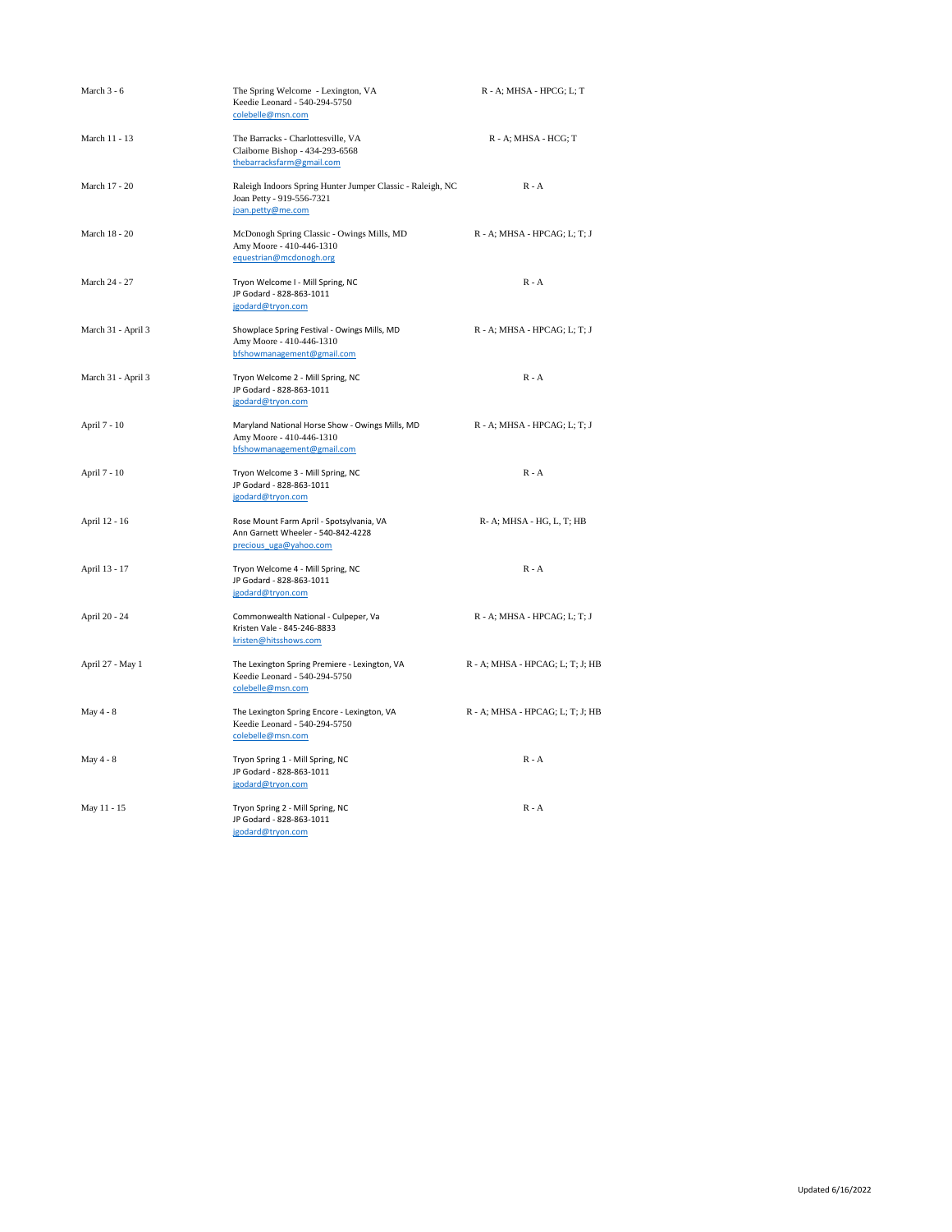| March 3 - 6        | The Spring Welcome - Lexington, VA<br>Keedie Leonard - 540-294-5750<br>colebelle@msn.com                     | R - A; MHSA - HPCG; L; T         |
|--------------------|--------------------------------------------------------------------------------------------------------------|----------------------------------|
| March 11 - 13      | The Barracks - Charlottesville, VA<br>Claiborne Bishop - 434-293-6568<br>thebarracksfarm@gmail.com           | R - A; MHSA - HCG; T             |
| March 17 - 20      | Raleigh Indoors Spring Hunter Jumper Classic - Raleigh, NC<br>Joan Petty - 919-556-7321<br>joan.petty@me.com | $R - A$                          |
| March 18 - 20      | McDonogh Spring Classic - Owings Mills, MD<br>Amy Moore - 410-446-1310<br>equestrian@mcdonogh.org            | R - A; MHSA - HPCAG; L; T; J     |
| March 24 - 27      | Tryon Welcome I - Mill Spring, NC<br>JP Godard - 828-863-1011<br>jgodard@tryon.com                           | $R - A$                          |
| March 31 - April 3 | Showplace Spring Festival - Owings Mills, MD<br>Amy Moore - 410-446-1310<br>bfshowmanagement@gmail.com       | R - A; MHSA - HPCAG; L; T; J     |
| March 31 - April 3 | Tryon Welcome 2 - Mill Spring, NC<br>JP Godard - 828-863-1011<br>jgodard@tryon.com                           | $R - A$                          |
| April 7 - 10       | Maryland National Horse Show - Owings Mills, MD<br>Amy Moore - 410-446-1310<br>bfshowmanagement@gmail.com    | R - A; MHSA - HPCAG; L; T; J     |
| April 7 - 10       | Tryon Welcome 3 - Mill Spring, NC<br>JP Godard - 828-863-1011<br>jgodard@tryon.com                           | $R - A$                          |
| April 12 - 16      | Rose Mount Farm April - Spotsylvania, VA<br>Ann Garnett Wheeler - 540-842-4228<br>precious uga@yahoo.com     | R-A; MHSA - HG, L, T; HB         |
| April 13 - 17      | Tryon Welcome 4 - Mill Spring, NC<br>JP Godard - 828-863-1011<br>jgodard@tryon.com                           | $R - A$                          |
| April 20 - 24      | Commonwealth National - Culpeper, Va<br>Kristen Vale - 845-246-8833<br>kristen@hitsshows.com                 | R - A; MHSA - HPCAG; L; T; J     |
| April 27 - May 1   | The Lexington Spring Premiere - Lexington, VA<br>Keedie Leonard - 540-294-5750<br>colebelle@msn.com          | R - A; MHSA - HPCAG; L; T; J; HB |
| May 4 - 8          | The Lexington Spring Encore - Lexington, VA<br>Keedie Leonard - 540-294-5750<br>colebelle@msn.com            | R - A; MHSA - HPCAG; L; T; J; HB |
| May 4 - 8          | Tryon Spring 1 - Mill Spring, NC<br>JP Godard - 828-863-1011<br>jgodard@tryon.com                            | $R - A$                          |
| May 11 - 15        | Tryon Spring 2 - Mill Spring, NC<br>JP Godard - 828-863-1011<br>jgodard@tryon.com                            | $R - A$                          |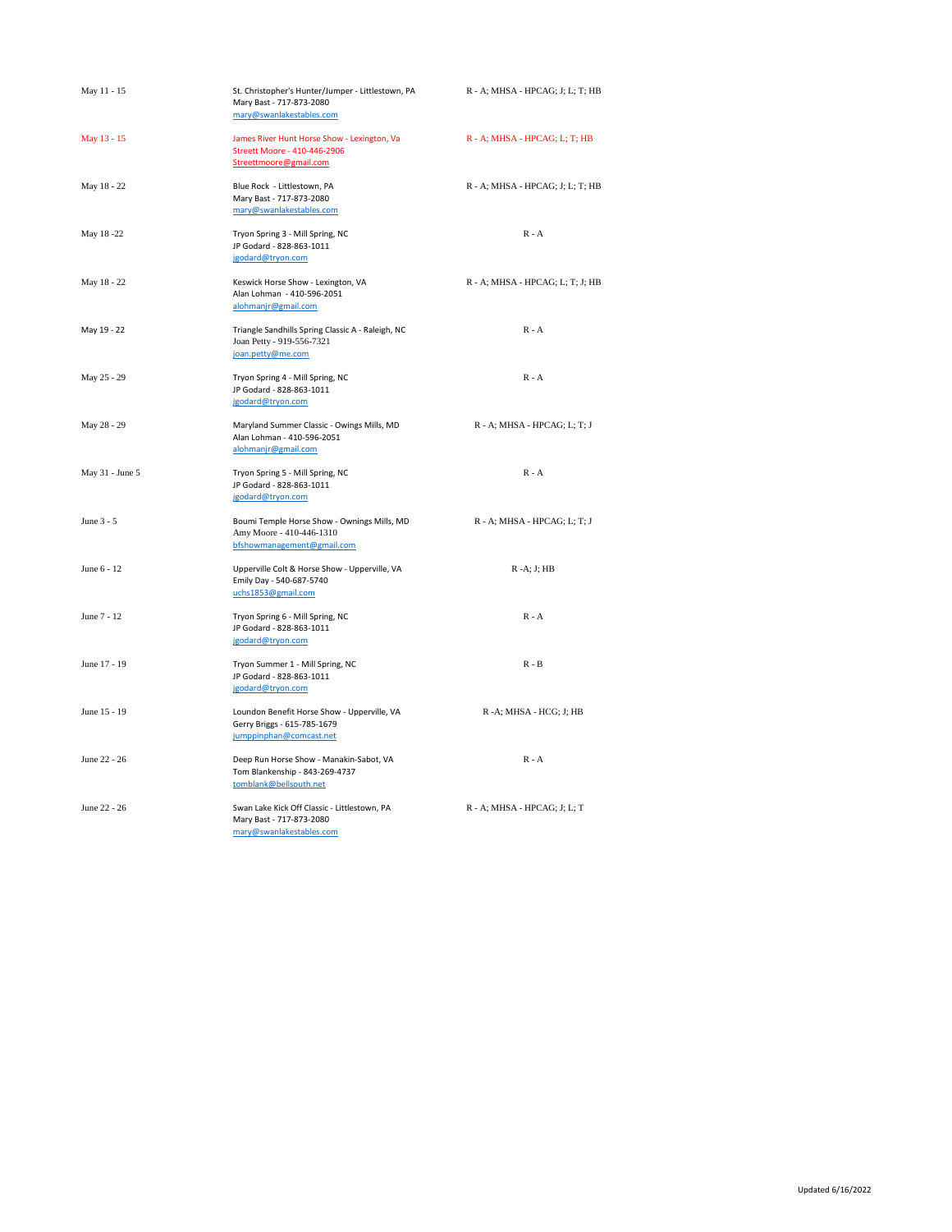| May 11 - 15     | St. Christopher's Hunter/Jumper - Littlestown, PA<br>Mary Bast - 717-873-2080<br>mary@swanlakestables.com | R - A; MHSA - HPCAG; J; L; T; HB |
|-----------------|-----------------------------------------------------------------------------------------------------------|----------------------------------|
| May 13 - 15     | James River Hunt Horse Show - Lexington, Va<br>Streett Moore - 410-446-2906<br>Streettmoore@gmail.com     | R - A; MHSA - HPCAG; L; T; HB    |
| May 18 - 22     | Blue Rock - Littlestown, PA<br>Mary Bast - 717-873-2080<br>mary@swanlakestables.com                       | R - A; MHSA - HPCAG; J; L; T; HB |
| May 18-22       | Tryon Spring 3 - Mill Spring, NC<br>JP Godard - 828-863-1011<br>jgodard@tryon.com                         | $R - A$                          |
| May 18 - 22     | Keswick Horse Show - Lexington, VA<br>Alan Lohman - 410-596-2051<br>alohmanjr@gmail.com                   | R - A; MHSA - HPCAG; L; T; J; HB |
| May 19 - 22     | Triangle Sandhills Spring Classic A - Raleigh, NC<br>Joan Petty - 919-556-7321<br>joan.petty@me.com       | $R - A$                          |
| May 25 - 29     | Tryon Spring 4 - Mill Spring, NC<br>JP Godard - 828-863-1011<br>jgodard@tryon.com                         | $R - A$                          |
| May 28 - 29     | Maryland Summer Classic - Owings Mills, MD<br>Alan Lohman - 410-596-2051<br>alohmanjr@gmail.com           | R - A; MHSA - HPCAG; L; T; J     |
| May 31 - June 5 | Tryon Spring 5 - Mill Spring, NC<br>JP Godard - 828-863-1011<br>jgodard@tryon.com                         | $R - A$                          |
| June 3 - 5      | Boumi Temple Horse Show - Ownings Mills, MD<br>Amy Moore - 410-446-1310<br>bfshowmanagement@gmail.com     | R - A; MHSA - HPCAG; L; T; J     |
| June 6 - 12     | Upperville Colt & Horse Show - Upperville, VA<br>Emily Day - 540-687-5740<br>uchs1853@gmail.com           | $R - A$ : J: $HB$                |
| June 7 - 12     | Tryon Spring 6 - Mill Spring, NC<br>JP Godard - 828-863-1011<br>jgodard@tryon.com                         | $R - A$                          |
| June 17 - 19    | Tryon Summer 1 - Mill Spring, NC<br>JP Godard - 828-863-1011<br>jgodard@tryon.com                         | $R - B$                          |
| June 15 - 19    | Loundon Benefit Horse Show - Upperville, VA<br>Gerry Briggs - 615-785-1679<br>jumppinphan@comcast.net     | R -A; MHSA - HCG; J; HB          |
| June 22 - 26    | Deep Run Horse Show - Manakin-Sabot, VA<br>Tom Blankenship - 843-269-4737<br>tomblank@bellsouth.net       | $R - A$                          |
| June 22 - 26    | Swan Lake Kick Off Classic - Littlestown, PA<br>Mary Bast - 717-873-2080<br>mary@swanlakestables.com      | R - A; MHSA - HPCAG; J; L; T     |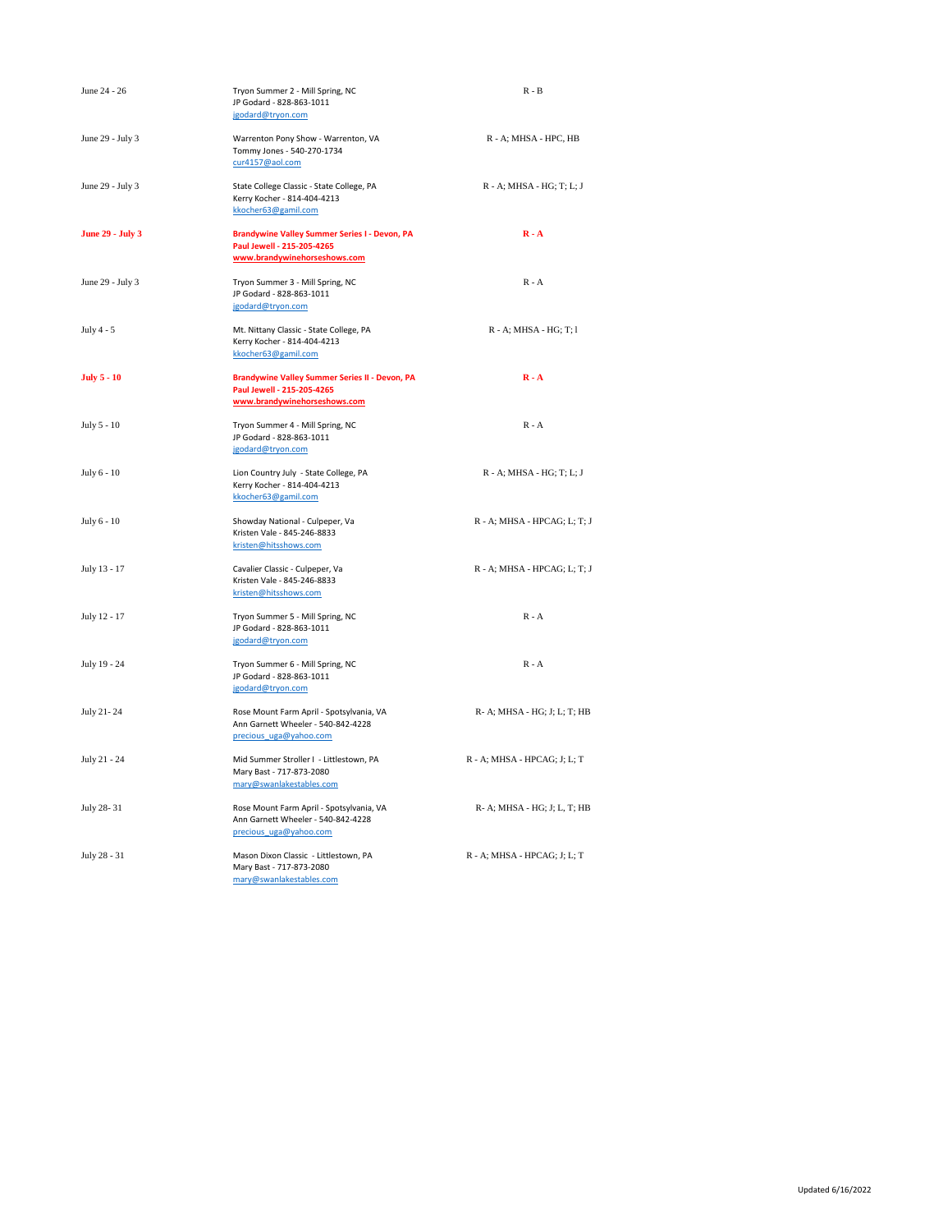| June 24 - 26            | Tryon Summer 2 - Mill Spring, NC<br>JP Godard - 828-863-1011<br>jgodard@tryon.com                                   | $R - B$                      |
|-------------------------|---------------------------------------------------------------------------------------------------------------------|------------------------------|
| June 29 - July 3        | Warrenton Pony Show - Warrenton, VA<br>Tommy Jones - 540-270-1734<br>cur4157@aol.com                                | R - A; MHSA - HPC, HB        |
| June 29 - July 3        | State College Classic - State College, PA<br>Kerry Kocher - 814-404-4213<br>kkocher63@gamil.com                     | $R - A$ ; MHSA - HG; T; L; J |
| <b>June 29 - July 3</b> | <b>Brandywine Valley Summer Series I - Devon, PA</b><br>Paul Jewell - 215-205-4265<br>www.brandywinehorseshows.com  | $R - A$                      |
| June 29 - July 3        | Tryon Summer 3 - Mill Spring, NC<br>JP Godard - 828-863-1011<br>jgodard@tryon.com                                   | $R - A$                      |
| July $4 - 5$            | Mt. Nittany Classic - State College, PA<br>Kerry Kocher - 814-404-4213<br>kkocher63@gamil.com                       | R - A; MHSA - HG; T; 1       |
| <b>July 5 - 10</b>      | <b>Brandywine Valley Summer Series II - Devon, PA</b><br>Paul Jewell - 215-205-4265<br>www.brandywinehorseshows.com | $R - A$                      |
| July 5 - 10             | Tryon Summer 4 - Mill Spring, NC<br>JP Godard - 828-863-1011<br>jgodard@tryon.com                                   | $R - A$                      |
| July 6 - 10             | Lion Country July - State College, PA<br>Kerry Kocher - 814-404-4213<br>kkocher63@gamil.com                         | R - A; MHSA - HG; T; L; J    |
| July 6 - 10             | Showday National - Culpeper, Va<br>Kristen Vale - 845-246-8833<br>kristen@hitsshows.com                             | R - A; MHSA - HPCAG; L; T; J |
| July 13 - 17            | Cavalier Classic - Culpeper, Va<br>Kristen Vale - 845-246-8833<br>kristen@hitsshows.com                             | R - A; MHSA - HPCAG; L; T; J |
| July 12 - 17            | Tryon Summer 5 - Mill Spring, NC<br>JP Godard - 828-863-1011<br>jgodard@tryon.com                                   | $R - A$                      |
| July 19 - 24            | Tryon Summer 6 - Mill Spring, NC<br>JP Godard - 828-863-1011<br>jgodard@tryon.com                                   | $R - A$                      |
| July 21-24              | Rose Mount Farm April - Spotsylvania, VA<br>Ann Garnett Wheeler - 540-842-4228<br>precious uga@yahoo.com            | R- A; MHSA - HG; J; L; T; HB |
| July 21 - 24            | Mid Summer Stroller I - Littlestown, PA<br>Mary Bast - 717-873-2080<br>mary@swanlakestables.com                     | R - A; MHSA - HPCAG; J; L; T |
| July 28-31              | Rose Mount Farm April - Spotsylvania, VA<br>Ann Garnett Wheeler - 540-842-4228<br>precious uga@yahoo.com            | R- A; MHSA - HG; J; L, T; HB |
| July 28 - 31            | Mason Dixon Classic - Littlestown, PA<br>Mary Bast - 717-873-2080<br>mary@swanlakestables.com                       | R - A; MHSA - HPCAG; J; L; T |